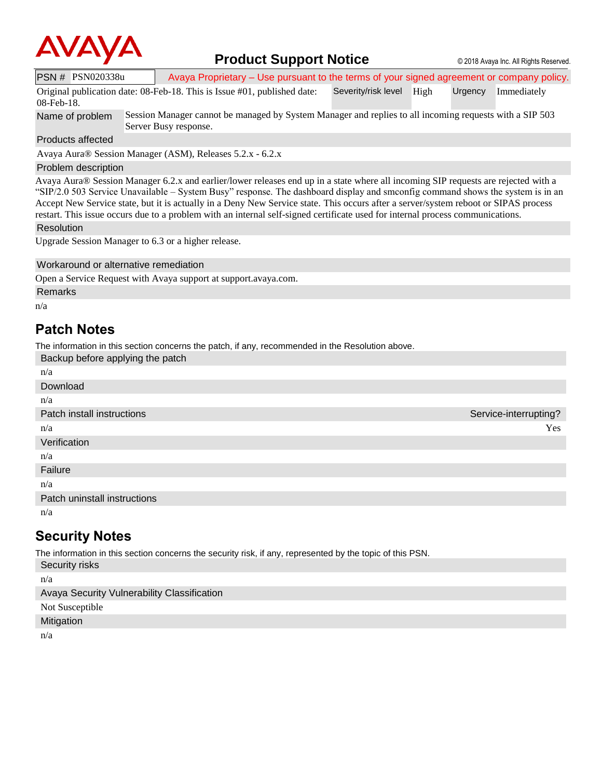

## **Product Support Notice** © 2018 Avaya Inc. All Rights Reserved.

PSN # PSN020338u Avaya Proprietary – Use pursuant to the terms of your signed agreement or company policy. Original publication date: 08-Feb-18. This is Issue #01, published date: Severity/risk level High Urgency Immediately

08-Feb-18.

Name of problem Session Manager cannot be managed by System Manager and replies to all incoming requests with a SIP 503 Server Busy response.

Products affected

Avaya Aura® Session Manager (ASM), Releases 5.2.x - 6.2.x

## Problem description

Avaya Aura® Session Manager 6.2.x and earlier/lower releases end up in a state where all incoming SIP requests are rejected with a "SIP/2.0 503 Service Unavailable – System Busy" response. The dashboard display and smconfig command shows the system is in an Accept New Service state, but it is actually in a Deny New Service state. This occurs after a server/system reboot or SIPAS process restart. This issue occurs due to a problem with an internal self-signed certificate used for internal process communications.

Resolution

Upgrade Session Manager to 6.3 or a higher release.

Workaround or alternative remediation

Open a Service Request with Avaya support at support.avaya.com.

Remarks

n/a

## **Patch Notes**

The information in this section concerns the patch, if any, recommended in the Resolution above. Backup before applying the patch

| $S^{\text{sc}}$ $S^{\text{sc}}$ $S^{\text{sc}}$ $S^{\text{sc}}$ $S^{\text{sc}}$ $S^{\text{sc}}$ $S^{\text{sc}}$ $S^{\text{sc}}$ |                       |
|---------------------------------------------------------------------------------------------------------------------------------|-----------------------|
| n/a                                                                                                                             |                       |
| Download                                                                                                                        |                       |
| n/a                                                                                                                             |                       |
| Patch install instructions                                                                                                      | Service-interrupting? |
| n/a                                                                                                                             | Yes                   |
| Verification                                                                                                                    |                       |
| n/a                                                                                                                             |                       |
| Failure                                                                                                                         |                       |
| n/a                                                                                                                             |                       |
| Patch uninstall instructions                                                                                                    |                       |
| n/a                                                                                                                             |                       |
|                                                                                                                                 |                       |

## **Security Notes**

The information in this section concerns the security risk, if any, represented by the topic of this PSN.

Security risks

n/a

Avaya Security Vulnerability Classification

Not Susceptible

Mitigation

n/a